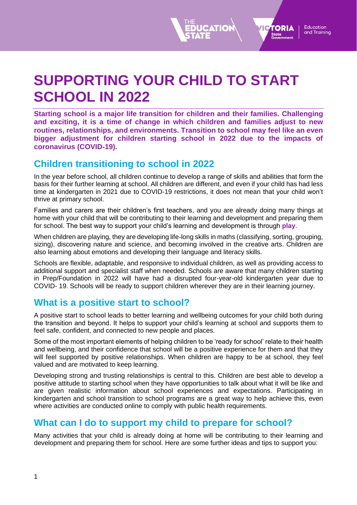

# **SUPPORTING YOUR CHILD TO START SCHOOL IN 2022**

**Starting school is a major life transition for children and their families. Challenging and exciting, it is a time of change in which children and families adjust to new routines, relationships, and environments. Transition to school may feel like an even bigger adjustment for children starting school in 2022 due to the impacts of coronavirus (COVID-19).**

### **Children transitioning to school in 2022**

In the year before school, all children continue to develop a range of skills and abilities that form the basis for their further learning at school. All children are different, and even if your child has had less time at kindergarten in 2021 due to COVID-19 restrictions, it does not mean that your child won't thrive at primary school.

Families and carers are their children's first teachers, and you are already doing many things at home with your child that will be contributing to their learning and development and preparing them for school. The best way to support your child's learning and development is through **play**.

When children are playing, they are developing life-long skills in maths (classifying, sorting, grouping, sizing), discovering nature and science, and becoming involved in the creative arts. Children are also learning about emotions and developing their language and literacy skills.

Schools are flexible, adaptable, and responsive to individual children, as well as providing access to additional support and specialist staff when needed. Schools are aware that many children starting in Prep/Foundation in 2022 will have had a disrupted four-year-old kindergarten year due to COVID- 19. Schools will be ready to support children wherever they are in their learning journey.

#### **What is a positive start to school?**

A positive start to school leads to better learning and wellbeing outcomes for your child both during the transition and beyond. It helps to support your child's learning at school and supports them to feel safe, confident, and connected to new people and places.

Some of the most important elements of helping children to be 'ready for school' relate to their health and wellbeing, and their confidence that school will be a positive experience for them and that they will feel supported by positive relationships. When children are happy to be at school, they feel valued and are motivated to keep learning.

Developing strong and trusting relationships is central to this. Children are best able to develop a positive attitude to starting school when they have opportunities to talk about what it will be like and are given realistic information about school experiences and expectations. Participating in kindergarten and school transition to school programs are a great way to help achieve this, even where activities are conducted online to comply with public health requirements.

#### **What can I do to support my child to prepare for school?**

Many activities that your child is already doing at home will be contributing to their learning and development and preparing them for school. Here are some further ideas and tips to support you: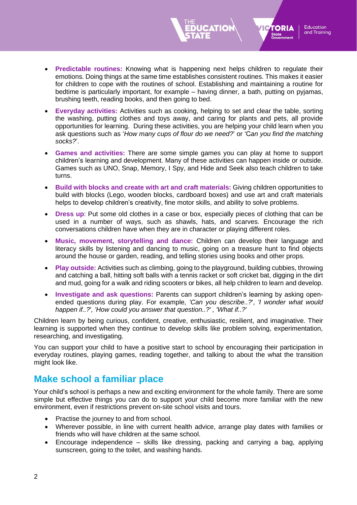• **Predictable routines:** Knowing what is happening next helps children to regulate their emotions. Doing things at the same time establishes consistent routines. This makes it easier for children to cope with the routines of school. Establishing and maintaining a routine for bedtime is particularly important, for example – having dinner, a bath, putting on pyjamas, brushing teeth, reading books, and then going to bed.

**TORIA** 

State<br>Government

**Education** and Training

- **Everyday activities:** Activities such as cooking, helping to set and clear the table, sorting the washing, putting clothes and toys away, and caring for plants and pets, all provide opportunities for learning. During these activities, you are helping your child learn when you ask questions such as '*How many cups of flour do we need?*' or 'C*an you find the matching socks?*'.
- **Games and activities:** There are some simple games you can play at home to support children's learning and development. Many of these activities can happen inside or outside. Games such as UNO, Snap, Memory, I Spy, and Hide and Seek also teach children to take turns.
- **Build with blocks and create with art and craft materials:** Giving children opportunities to build with blocks (Lego, wooden blocks, cardboard boxes) and use art and craft materials helps to develop children's creativity, fine motor skills, and ability to solve problems.
- **Dress up**: Put some old clothes in a case or box, especially pieces of clothing that can be used in a number of ways, such as shawls, hats, and scarves. Encourage the rich conversations children have when they are in character or playing different roles.
- **Music, movement, storytelling and dance:** Children can develop their language and literacy skills by listening and dancing to music, going on a treasure hunt to find objects around the house or garden, reading, and telling stories using books and other props.
- **Play outside:** Activities such as climbing, going to the playground, building cubbies, throwing and catching a ball, hitting soft balls with a tennis racket or soft cricket bat, digging in the dirt and mud, going for a walk and riding scooters or bikes, all help children to learn and develop.
- **Investigate and ask questions:** Parents can support children's learning by asking openended questions during play. For example, *'Can you describe..?*', *'I wonder what would happen if..?*'*, 'How could you answer that question..?' , 'What if..?'*

Children learn by being curious, confident, creative, enthusiastic, resilient, and imaginative. Their learning is supported when they continue to develop skills like problem solving, experimentation, researching, and investigating.

You can support your child to have a positive start to school by encouraging their participation in everyday routines, playing games, reading together, and talking to about the what the transition might look like.

#### **Make school a familiar place**

Your child's school is perhaps a new and exciting environment for the whole family. There are some simple but effective things you can do to support your child become more familiar with the new environment, even if restrictions prevent on-site school visits and tours.

- Practise the journey to and from school.
- Wherever possible, in line with current health advice, arrange play dates with families or friends who will have children at the same school.
- Encourage independence skills like dressing, packing and carrying a bag, applying sunscreen, going to the toilet, and washing hands.